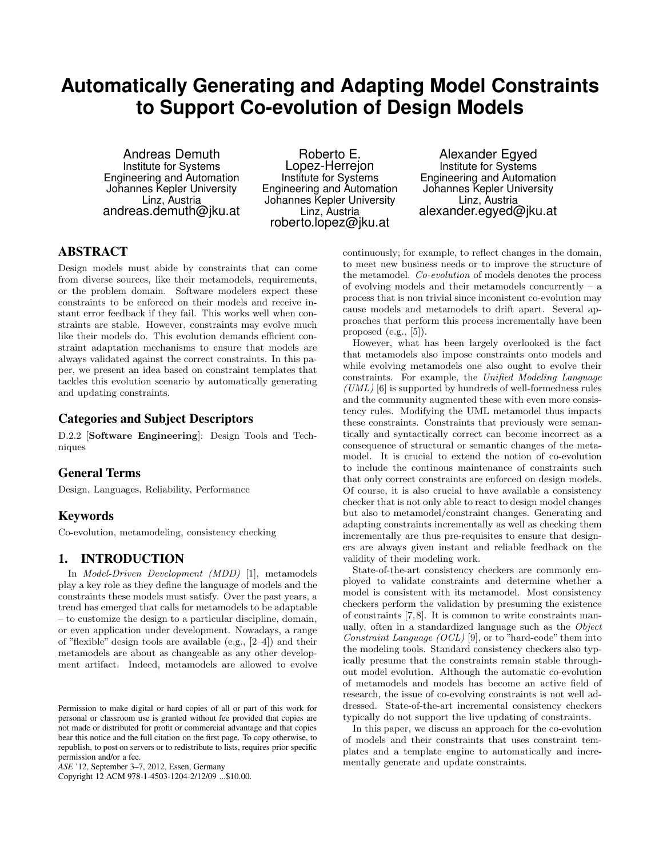# **Automatically Generating and Adapting Model Constraints to Support Co-evolution of Design Models**

Andreas Demuth Institute for Systems Engineering and Automation Johannes Kepler University Linz, Austria andreas.demuth@jku.at

Roberto E. Lopez-Herrejon Institute for Systems Engineering and Automation Johannes Kepler University Linz, Austria roberto.lopez@jku.at

Alexander Egyed Institute for Systems Engineering and Automation Johannes Kepler University Linz, Austria alexander.egyed@jku.at

# ABSTRACT

Design models must abide by constraints that can come from diverse sources, like their metamodels, requirements, or the problem domain. Software modelers expect these constraints to be enforced on their models and receive instant error feedback if they fail. This works well when constraints are stable. However, constraints may evolve much like their models do. This evolution demands efficient constraint adaptation mechanisms to ensure that models are always validated against the correct constraints. In this paper, we present an idea based on constraint templates that tackles this evolution scenario by automatically generating and updating constraints.

### Categories and Subject Descriptors

D.2.2 [Software Engineering]: Design Tools and Techniques

### General Terms

Design, Languages, Reliability, Performance

### Keywords

Co-evolution, metamodeling, consistency checking

### 1. INTRODUCTION

In Model-Driven Development (MDD) [1], metamodels play a key role as they define the language of models and the constraints these models must satisfy. Over the past years, a trend has emerged that calls for metamodels to be adaptable – to customize the design to a particular discipline, domain, or even application under development. Nowadays, a range of "flexible" design tools are available (e.g., [2–4]) and their metamodels are about as changeable as any other development artifact. Indeed, metamodels are allowed to evolve

Copyright 12 ACM 978-1-4503-1204-2/12/09 ...\$10.00.

continuously; for example, to reflect changes in the domain, to meet new business needs or to improve the structure of the metamodel. Co-evolution of models denotes the process of evolving models and their metamodels concurrently – a process that is non trivial since inconistent co-evolution may cause models and metamodels to drift apart. Several approaches that perform this process incrementally have been proposed (e.g., [5]).

However, what has been largely overlooked is the fact that metamodels also impose constraints onto models and while evolving metamodels one also ought to evolve their constraints. For example, the Unified Modeling Language (UML) [6] is supported by hundreds of well-formedness rules and the community augmented these with even more consistency rules. Modifying the UML metamodel thus impacts these constraints. Constraints that previously were semantically and syntactically correct can become incorrect as a consequence of structural or semantic changes of the metamodel. It is crucial to extend the notion of co-evolution to include the continous maintenance of constraints such that only correct constraints are enforced on design models. Of course, it is also crucial to have available a consistency checker that is not only able to react to design model changes but also to metamodel/constraint changes. Generating and adapting constraints incrementally as well as checking them incrementally are thus pre-requisites to ensure that designers are always given instant and reliable feedback on the validity of their modeling work.

State-of-the-art consistency checkers are commonly employed to validate constraints and determine whether a model is consistent with its metamodel. Most consistency checkers perform the validation by presuming the existence of constraints [7, 8]. It is common to write constraints manually, often in a standardized language such as the Object Constraint Language  $(OCL)$  [9], or to "hard-code" them into the modeling tools. Standard consistency checkers also typically presume that the constraints remain stable throughout model evolution. Although the automatic co-evolution of metamodels and models has become an active field of research, the issue of co-evolving constraints is not well addressed. State-of-the-art incremental consistency checkers typically do not support the live updating of constraints.

In this paper, we discuss an approach for the co-evolution of models and their constraints that uses constraint templates and a template engine to automatically and incrementally generate and update constraints.

Permission to make digital or hard copies of all or part of this work for personal or classroom use is granted without fee provided that copies are not made or distributed for profit or commercial advantage and that copies bear this notice and the full citation on the first page. To copy otherwise, to republish, to post on servers or to redistribute to lists, requires prior specific permission and/or a fee.

*ASE* '12, September 3–7, 2012, Essen, Germany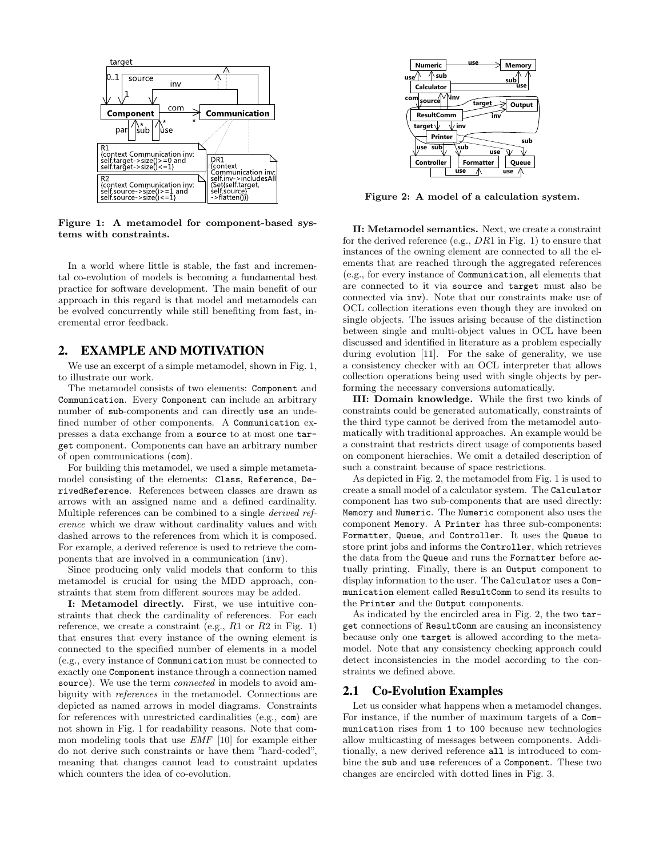

Figure 1: A metamodel for component-based systems with constraints.

In a world where little is stable, the fast and incremental co-evolution of models is becoming a fundamental best practice for software development. The main benefit of our approach in this regard is that model and metamodels can be evolved concurrently while still benefiting from fast, incremental error feedback.

## 2. EXAMPLE AND MOTIVATION

We use an excerpt of a simple metamodel, shown in Fig. 1, to illustrate our work.

The metamodel consists of two elements: Component and Communication. Every Component can include an arbitrary number of sub-components and can directly use an undefined number of other components. A Communication expresses a data exchange from a source to at most one target component. Components can have an arbitrary number of open communications (com).

For building this metamodel, we used a simple metametamodel consisting of the elements: Class, Reference, DerivedReference. References between classes are drawn as arrows with an assigned name and a defined cardinality. Multiple references can be combined to a single derived reference which we draw without cardinality values and with dashed arrows to the references from which it is composed. For example, a derived reference is used to retrieve the components that are involved in a communication (inv).

Since producing only valid models that conform to this metamodel is crucial for using the MDD approach, constraints that stem from different sources may be added.

I: Metamodel directly. First, we use intuitive constraints that check the cardinality of references. For each reference, we create a constraint (e.g.,  $R1$  or  $R2$  in Fig. 1) that ensures that every instance of the owning element is connected to the specified number of elements in a model (e.g., every instance of Communication must be connected to exactly one Component instance through a connection named source). We use the term *connected* in models to avoid ambiguity with references in the metamodel. Connections are depicted as named arrows in model diagrams. Constraints for references with unrestricted cardinalities (e.g., com) are not shown in Fig. 1 for readability reasons. Note that common modeling tools that use EMF [10] for example either do not derive such constraints or have them "hard-coded", meaning that changes cannot lead to constraint updates which counters the idea of co-evolution.



Figure 2: A model of a calculation system.

II: Metamodel semantics. Next, we create a constraint for the derived reference (e.g.,  $DR1$  in Fig. 1) to ensure that instances of the owning element are connected to all the elements that are reached through the aggregated references (e.g., for every instance of Communication, all elements that are connected to it via source and target must also be connected via inv). Note that our constraints make use of OCL collection iterations even though they are invoked on single objects. The issues arising because of the distinction between single and multi-object values in OCL have been discussed and identified in literature as a problem especially during evolution [11]. For the sake of generality, we use a consistency checker with an OCL interpreter that allows collection operations being used with single objects by performing the necessary conversions automatically.

III: Domain knowledge. While the first two kinds of constraints could be generated automatically, constraints of the third type cannot be derived from the metamodel automatically with traditional approaches. An example would be a constraint that restricts direct usage of components based on component hierachies. We omit a detailed description of such a constraint because of space restrictions.

As depicted in Fig. 2, the metamodel from Fig. 1 is used to create a small model of a calculator system. The Calculator component has two sub-components that are used directly: Memory and Numeric. The Numeric component also uses the component Memory. A Printer has three sub-components: Formatter, Queue, and Controller. It uses the Queue to store print jobs and informs the Controller, which retrieves the data from the Queue and runs the Formatter before actually printing. Finally, there is an Output component to display information to the user. The Calculator uses a Communication element called ResultComm to send its results to the Printer and the Output components.

As indicated by the encircled area in Fig. 2, the two target connections of ResultComm are causing an inconsistency because only one target is allowed according to the metamodel. Note that any consistency checking approach could detect inconsistencies in the model according to the constraints we defined above.

### 2.1 Co-Evolution Examples

Let us consider what happens when a metamodel changes. For instance, if the number of maximum targets of a Communication rises from 1 to 100 because new technologies allow multicasting of messages between components. Additionally, a new derived reference all is introduced to combine the sub and use references of a Component. These two changes are encircled with dotted lines in Fig. 3.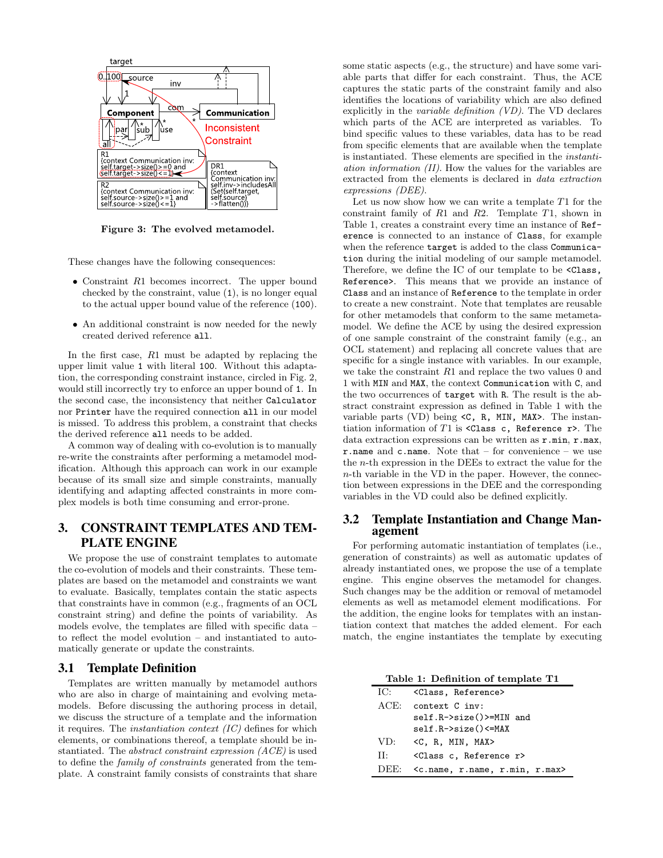

Figure 3: The evolved metamodel.

These changes have the following consequences:

- Constraint R1 becomes incorrect. The upper bound checked by the constraint, value (1), is no longer equal to the actual upper bound value of the reference (100).
- An additional constraint is now needed for the newly created derived reference all.

In the first case, R1 must be adapted by replacing the upper limit value 1 with literal 100. Without this adaptation, the corresponding constraint instance, circled in Fig. 2, would still incorrectly try to enforce an upper bound of 1. In the second case, the inconsistency that neither Calculator nor Printer have the required connection all in our model is missed. To address this problem, a constraint that checks the derived reference all needs to be added.

A common way of dealing with co-evolution is to manually re-write the constraints after performing a metamodel modification. Although this approach can work in our example because of its small size and simple constraints, manually identifying and adapting affected constraints in more complex models is both time consuming and error-prone.

# 3. CONSTRAINT TEMPLATES AND TEM-PLATE ENGINE

We propose the use of constraint templates to automate the co-evolution of models and their constraints. These templates are based on the metamodel and constraints we want to evaluate. Basically, templates contain the static aspects that constraints have in common (e.g., fragments of an OCL constraint string) and define the points of variability. As models evolve, the templates are filled with specific data – to reflect the model evolution – and instantiated to automatically generate or update the constraints.

#### 3.1 Template Definition

Templates are written manually by metamodel authors who are also in charge of maintaining and evolving metamodels. Before discussing the authoring process in detail, we discuss the structure of a template and the information it requires. The *instantiation context*  $(IC)$  defines for which elements, or combinations thereof, a template should be instantiated. The abstract constraint expression (ACE) is used to define the family of constraints generated from the template. A constraint family consists of constraints that share

some static aspects (e.g., the structure) and have some variable parts that differ for each constraint. Thus, the ACE captures the static parts of the constraint family and also identifies the locations of variability which are also defined explicitly in the variable definition (VD). The VD declares which parts of the ACE are interpreted as variables. To bind specific values to these variables, data has to be read from specific elements that are available when the template is instantiated. These elements are specified in the instantiation information (II). How the values for the variables are extracted from the elements is declared in data extraction expressions (DEE).

Let us now show how we can write a template  $T1$  for the constraint family of  $R1$  and  $R2$ . Template  $T1$ , shown in Table 1, creates a constraint every time an instance of Reference is connected to an instance of Class, for example when the reference target is added to the class Communication during the initial modeling of our sample metamodel. Therefore, we define the IC of our template to be  $\leq$ Class, Reference>. This means that we provide an instance of Class and an instance of Reference to the template in order to create a new constraint. Note that templates are reusable for other metamodels that conform to the same metametamodel. We define the ACE by using the desired expression of one sample constraint of the constraint family (e.g., an OCL statement) and replacing all concrete values that are specific for a single instance with variables. In our example, we take the constraint R1 and replace the two values 0 and 1 with MIN and MAX, the context Communication with C, and the two occurrences of target with R. The result is the abstract constraint expression as defined in Table 1 with the variable parts (VD) being  $\langle C, R, MIN, MAX \rangle$ . The instantiation information of  $T1$  is <Class c, Reference r>. The data extraction expressions can be written as  $r.\texttt{min}, r.\texttt{max},$ r.name and c.name. Note that – for convenience – we use the n-th expression in the DEEs to extract the value for the n-th variable in the VD in the paper. However, the connection between expressions in the DEE and the corresponding variables in the VD could also be defined explicitly.

#### 3.2 Template Instantiation and Change Management

For performing automatic instantiation of templates (i.e., generation of constraints) as well as automatic updates of already instantiated ones, we propose the use of a template engine. This engine observes the metamodel for changes. Such changes may be the addition or removal of metamodel elements as well as metamodel element modifications. For the addition, the engine looks for templates with an instantiation context that matches the added element. For each match, the engine instantiates the template by executing

|  |  | Table 1: Definition of template T1 |  |
|--|--|------------------------------------|--|
|--|--|------------------------------------|--|

|         | IC: <class, reference=""></class,>                  |
|---------|-----------------------------------------------------|
|         | $ACE:$ context $C$ inv:                             |
|         | self.R->size()>=MIN and                             |
|         | $self.R->size() \leq = MAX$                         |
| VD:     | $\langle C, R, MIN, MAX \rangle$                    |
| $\Pi$ : | $\langle Class c, Reference r \rangle$              |
|         | DEE: $\langle c.name, r.name, r.min, r.max \rangle$ |